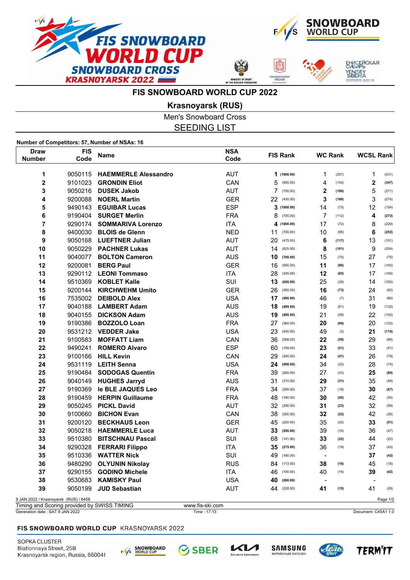



ЕНИСЕЙСКАЯ<br>СИБИРЬ

/ENISEY<br>SIBERIA

**FIS SNOWBOARD WORLD CUP 2022**

**Krasnoyarsk (RUS)**

Men's Snowboard Cross SEEDING LIST

**Number of Competitors: 57, Number of NSAs: 16**

| Draw<br><b>Number</b>                                                                 | <b>FIS</b><br>Code | <b>Name</b>                 | <b>NSA</b><br>Code | <b>FIS Rank</b> | <b>WC Rank</b>          | <b>WCSL Rank</b>         |
|---------------------------------------------------------------------------------------|--------------------|-----------------------------|--------------------|-----------------|-------------------------|--------------------------|
| 1                                                                                     | 9050115            | <b>HAEMMERLE Alessandro</b> | <b>AUT</b>         | 1(1000.00)      | 1<br>(257)              | 1<br>(531)               |
| $\overline{\mathbf{2}}$                                                               | 9101023            | <b>GRONDIN Eliot</b>        | CAN                | 5<br>(900.00)   | 4<br>(154)              | $\mathbf 2$<br>(347)     |
| 3                                                                                     | 9050216            | <b>DUSEK Jakob</b>          | <b>AUT</b>         | 7<br>(750.00)   | $\mathbf{2}$<br>(190)   | 5<br>(271)               |
| 4                                                                                     | 9200088            | <b>NOERL Martin</b>         | <b>GER</b>         | 22<br>(430.00)  | 3<br>(186)              | 3<br>(274)               |
| 5                                                                                     | 9490143            | <b>EGUIBAR Lucas</b>        | <b>ESP</b>         | 3<br>(1000.00)  | 14<br>(75)              | 12<br>(154)              |
| 6                                                                                     | 9190404            | <b>SURGET Merlin</b>        | <b>FRA</b>         | 8<br>(700.00)   | $\overline{7}$<br>(112) | 4<br>(272)               |
| 7                                                                                     | 9290174            | <b>SOMMARIVA Lorenzo</b>    | <b>ITA</b>         | 4<br>(1000.00)  | 17<br>(72)              | 8<br>(229)               |
| 8                                                                                     | 9400030            | <b>BLOIS de Glenn</b>       | <b>NED</b>         | 11<br>(700.00)  | 10<br>(95)              | 6<br>(252)               |
| 9                                                                                     | 9050168            | <b>LUEFTNER Julian</b>      | <b>AUT</b>         | 20<br>(475.00)  | 6<br>(117)              | 13<br>(151)              |
| 10                                                                                    | 9050229            | <b>PACHNER Lukas</b>        | <b>AUT</b>         | 14<br>(625.00)  | 8<br>(101)              | 9<br>(204)               |
| 11                                                                                    | 9040077            | <b>BOLTON Cameron</b>       | <b>AUS</b>         | 10<br>(700.00)  | 15<br>(75)              | 27<br>(75)               |
| 12                                                                                    | 9200081            | <b>BERG Paul</b>            | <b>GER</b>         | 16<br>(550.00)  | 11<br>(86)              | 17<br>(140)              |
| 13                                                                                    | 9290112            | <b>LEONI Tommaso</b>        | <b>ITA</b>         | 28<br>(345.00)  | 12<br>(85)              | 17<br>(140)              |
| 14                                                                                    | 9510369            | <b>KOBLET Kalle</b>         | SUI                | 13<br>(650.00)  | 25<br>(39)              | 14<br>(150)              |
| 15                                                                                    | 9200144            | <b>KIRCHWEHM Umito</b>      | <b>GER</b>         | 26<br>(360.00)  | 16<br>(73)              | 24<br>(82)               |
| 16                                                                                    | 7535002            | <b>DEIBOLD Alex</b>         | <b>USA</b>         | 17<br>(500.00)  | 46<br>(7)               | 31<br>(66)               |
| 17                                                                                    | 9040188            | <b>LAMBERT Adam</b>         | <b>AUS</b>         | 18<br>(489.60)  | 19<br>(61)              | 19<br>(132)              |
| 18                                                                                    | 9040155            | <b>DICKSON Adam</b>         | <b>AUS</b>         | 19<br>(480.00)  | 21<br>(59)              | 22<br>(102)              |
| 19                                                                                    | 9190386            | <b>BOZZOLO Loan</b>         | <b>FRA</b>         | 27<br>(360.00)  | 20<br>(60)              | 20<br>(123)              |
| 20                                                                                    | 9531212            | <b>VEDDER Jake</b>          | <b>USA</b>         | 23<br>(430.00)  | 49<br>(3)               | 21<br>(110)              |
| 21                                                                                    | 9100583            | <b>MOFFATT Liam</b>         | CAN                | 36<br>(268.00)  | 22<br>(59)              | 29<br>(69)               |
| 22                                                                                    | 9490241            | <b>ROMERO Alvaro</b>        | <b>ESP</b>         | 60<br>(159.00)  | 23<br>(51)              | 33<br>(51)               |
| 23                                                                                    | 9100166            | <b>HILL Kevin</b>           | CAN                | 29<br>(340.00)  | 24<br>(41)              | 26<br>(79)               |
| 24                                                                                    | 9531119            | <b>LEITH Senna</b>          | <b>USA</b>         | 24<br>(408.00)  | 34<br>(22)              | 28<br>(74)               |
| 25                                                                                    | 9190484            | <b>SODOGAS Quentin</b>      | <b>FRA</b>         | 39<br>(260.00)  | 27<br>(33)              | 25<br>(80)               |
| 26                                                                                    | 9040149            | <b>HUGHES Jarryd</b>        | <b>AUS</b>         | 31<br>(310.00)  | 29<br>(31)              | 35<br>(48)               |
| 27                                                                                    | 9190369            | le BLE JAQUES Leo           | <b>FRA</b>         | 34<br>(289.00)  | 37<br>(18)              | 30<br>(67)               |
| 28                                                                                    | 9190459            | <b>HERPIN Guillaume</b>     | <b>FRA</b>         | 48<br>(180.00)  | 30<br>(26)              | 42<br>(26)               |
| 29                                                                                    | 9050245            | <b>PICKL David</b>          | <b>AUT</b>         | 32<br>(290.00)  | 31<br>(23)              | 32<br>(58)               |
| 30                                                                                    | 9100660            | <b>BICHON Evan</b>          | CAN                | 38<br>(260.00)  | 32<br>(22)              | 42<br>(26)               |
| 31                                                                                    | 9200120            | <b>BECKHAUS Leon</b>        | <b>GER</b>         | 45<br>(220.00)  | 35<br>(22)              | 33<br>(51)               |
| 32                                                                                    | 9050218            | <b>HAEMMERLE Luca</b>       | <b>AUT</b>         | 33<br>(290.00)  | 39<br>(16)              | 36<br>(47)               |
| 33                                                                                    | 9510380            | <b>BITSCHNAU Pascal</b>     | SUI                | 68<br>(141.90)  | 33<br>(22)              | 44<br>(22)               |
| 34                                                                                    | 9290328            | <b>FERRARI Filippo</b>      | <b>ITA</b>         | 35<br>(275.00)  | 36<br>(19)              | 37<br>(43)               |
| 35                                                                                    | 9510336            | <b>WATTER Nick</b>          | SUI                | 49<br>(180.00)  | $\blacksquare$          | 37<br>(43)               |
| 36                                                                                    | 9480290            | <b>OLYUNIN Nikolay</b>      | <b>RUS</b>         | 84<br>(113.00)  | 38<br>(18)              | 45<br>(18)               |
| 37                                                                                    | 9290155            | <b>GODINO Michele</b>       | <b>ITA</b>         | 46<br>(190.00)  | 40<br>(16)              | 39<br>(42)               |
| 38                                                                                    | 9530683            | <b>KAMISKY Paul</b>         | <b>USA</b>         | 40<br>(260.00)  | $\blacksquare$          | $\overline{\phantom{a}}$ |
| 39                                                                                    | 9050199            | <b>JUD Sebastian</b>        | <b>AUT</b>         | 44<br>(228.00)  | 41<br>(15)              | 41<br>(29)               |
| 9 JAN 2022 / Krasnoyarsk (RUS) / 6458<br>Timing and Cooring provided by CIMICC TIMINO |                    |                             | $$ fie eldean      |                 |                         | Page 1/2                 |

Generation date : SAT 8 JAN 2022 Time : 17:13 Document: C45A1 1.0 Timing and Scoring provided by SWISS TIMING www.fis-ski.com

## FIS SNOWBOARD WORLD CUP KRASNOYARSK 2022

SOPKA CLUSTER Biatlonnaya Street, 25B Krasnoyarsk region, Russia, 660041



**SBER**  $\mathcal{C}_1$ 







**TERMIT**